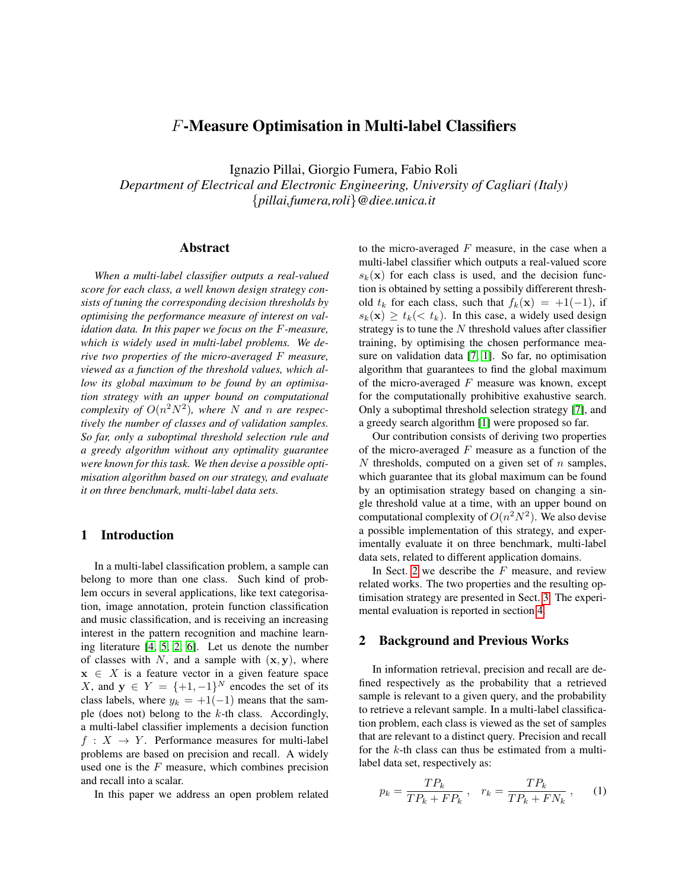# F-Measure Optimisation in Multi-label Classifiers

Ignazio Pillai, Giorgio Fumera, Fabio Roli

*Department of Electrical and Electronic Engineering, University of Cagliari (Italy)* {*pillai,fumera,roli*}*@diee.unica.it*

## Abstract

*When a multi-label classifier outputs a real-valued score for each class, a well known design strategy consists of tuning the corresponding decision thresholds by optimising the performance measure of interest on validation data. In this paper we focus on the* F*-measure, which is widely used in multi-label problems. We derive two properties of the micro-averaged* F *measure, viewed as a function of the threshold values, which allow its global maximum to be found by an optimisation strategy with an upper bound on computational complexity of*  $O(n^2N^2)$ , where N and n are respec*tively the number of classes and of validation samples. So far, only a suboptimal threshold selection rule and a greedy algorithm without any optimality guarantee were known for this task. We then devise a possible optimisation algorithm based on our strategy, and evaluate it on three benchmark, multi-label data sets.*

# <span id="page-0-1"></span>1 Introduction

In a multi-label classification problem, a sample can belong to more than one class. Such kind of problem occurs in several applications, like text categorisation, image annotation, protein function classification and music classification, and is receiving an increasing interest in the pattern recognition and machine learning literature [\[4,](#page-3-0) [5,](#page-3-1) [2,](#page-3-2) [6\]](#page-3-3). Let us denote the number of classes with N, and a sample with  $(x, y)$ , where  $x \in X$  is a feature vector in a given feature space X, and  $y \in Y = \{+1, -1\}^N$  encodes the set of its class labels, where  $y_k = +1(-1)$  means that the sample (does not) belong to the  $k$ -th class. Accordingly, a multi-label classifier implements a decision function  $f: X \rightarrow Y$ . Performance measures for multi-label problems are based on precision and recall. A widely used one is the  $F$  measure, which combines precision and recall into a scalar.

In this paper we address an open problem related

to the micro-averaged  $F$  measure, in the case when a multi-label classifier which outputs a real-valued score  $s_k(\mathbf{x})$  for each class is used, and the decision function is obtained by setting a possibily differerent threshold  $t_k$  for each class, such that  $f_k(\mathbf{x}) = +1(-1)$ , if  $s_k(\mathbf{x}) \ge t_k \, \langle \, \cdot \, t_k \rangle$ . In this case, a widely used design strategy is to tune the  $N$  threshold values after classifier training, by optimising the chosen performance measure on validation data [\[7,](#page-3-4) [1\]](#page-3-5). So far, no optimisation algorithm that guarantees to find the global maximum of the micro-averaged  $F$  measure was known, except for the computationally prohibitive exahustive search. Only a suboptimal threshold selection strategy [\[7\]](#page-3-4), and a greedy search algorithm [\[1\]](#page-3-5) were proposed so far.

Our contribution consists of deriving two properties of the micro-averaged  $F$  measure as a function of the  $N$  thresholds, computed on a given set of  $n$  samples, which guarantee that its global maximum can be found by an optimisation strategy based on changing a single threshold value at a time, with an upper bound on computational complexity of  $O(n^2N^2)$ . We also devise a possible implementation of this strategy, and experimentally evaluate it on three benchmark, multi-label data sets, related to different application domains.

In Sect. [2](#page-0-0) we describe the  $F$  measure, and review related works. The two properties and the resulting optimisation strategy are presented in Sect. [3.](#page-1-0) The experimental evaluation is reported in section [4.](#page-2-0)

## <span id="page-0-0"></span>2 Background and Previous Works

In information retrieval, precision and recall are defined respectively as the probability that a retrieved sample is relevant to a given query, and the probability to retrieve a relevant sample. In a multi-label classification problem, each class is viewed as the set of samples that are relevant to a distinct query. Precision and recall for the  $k$ -th class can thus be estimated from a multilabel data set, respectively as:

$$
p_k = \frac{TP_k}{TP_k + FP_k}, \quad r_k = \frac{TP_k}{TP_k + FN_k}, \quad (1)
$$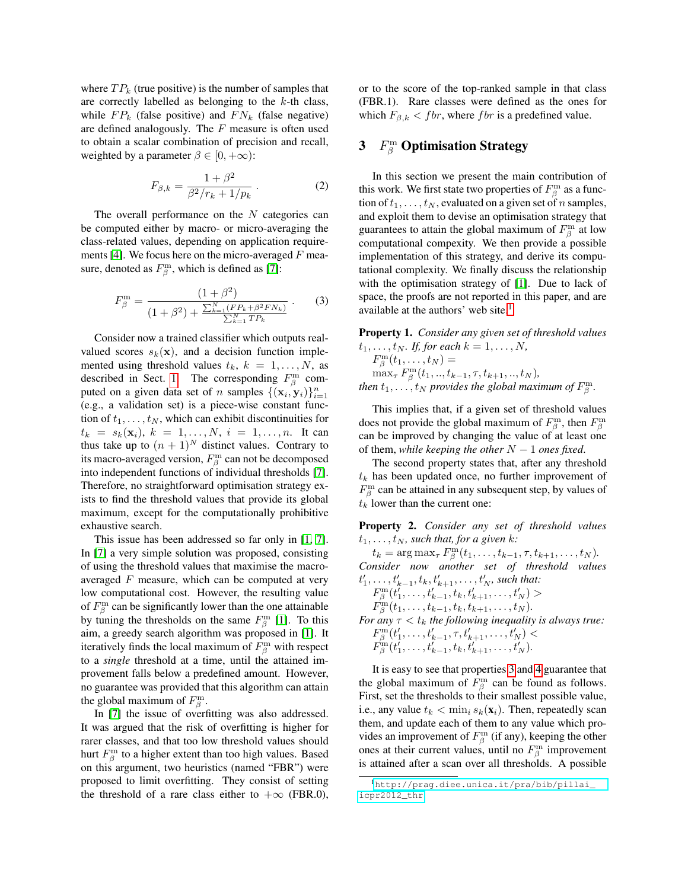where  $TP_k$  (true positive) is the number of samples that are correctly labelled as belonging to the  $k$ -th class, while  $FP_k$  (false positive) and  $FN_k$  (false negative) are defined analogously. The  $F$  measure is often used to obtain a scalar combination of precision and recall, weighted by a parameter  $\beta \in [0, +\infty)$ :

$$
F_{\beta,k} = \frac{1 + \beta^2}{\beta^2 / r_k + 1/p_k} \,. \tag{2}
$$

The overall performance on the  $N$  categories can be computed either by macro- or micro-averaging the class-related values, depending on application require-ments [\[4\]](#page-3-0). We focus here on the micro-averaged  $F$  measure, denoted as  $F^{\text{m}}_{\beta}$ , which is defined as [\[7\]](#page-3-4):

$$
F_{\beta}^{\mathbf{m}} = \frac{(1+\beta^2)}{(1+\beta^2) + \frac{\sum_{k=1}^{N} (F P_k + \beta^2 F N_k)}{\sum_{k=1}^{N} T P_k}}.
$$
 (3)

Consider now a trained classifier which outputs realvalued scores  $s_k(\mathbf{x})$ , and a decision function implemented using threshold values  $t_k$ ,  $k = 1, \ldots, N$ , as described in Sect. [1.](#page-0-1) The corresponding  $F^{\text{m}}_{\beta}$  computed on a given data set of *n* samples  $\{(\mathbf{x}_i, \mathbf{y}_i)\}_{i=1}^n$ (e.g., a validation set) is a piece-wise constant function of  $t_1, \ldots, t_N$ , which can exhibit discontinuities for  $t_k = s_k(\mathbf{x}_i), k = 1, ..., N, i = 1, ..., n$ . It can thus take up to  $(n + 1)^N$  distinct values. Contrary to its macro-averaged version,  $F^{\text{m}}_{\beta}$  can not be decomposed into independent functions of individual thresholds [\[7\]](#page-3-4). Therefore, no straightforward optimisation strategy exists to find the threshold values that provide its global maximum, except for the computationally prohibitive exhaustive search.

This issue has been addressed so far only in [\[1,](#page-3-5) [7\]](#page-3-4). In [\[7\]](#page-3-4) a very simple solution was proposed, consisting of using the threshold values that maximise the macroaveraged  $F$  measure, which can be computed at very low computational cost. However, the resulting value of  $F_\beta^{\text{m}}$  can be significantly lower than the one attainable by tuning the thresholds on the same  $F^{\text{m}}_{\beta}$  [\[1\]](#page-3-5). To this aim, a greedy search algorithm was proposed in [\[1\]](#page-3-5). It iteratively finds the local maximum of  $F^{\text{m}}_{\beta}$  with respect to a *single* threshold at a time, until the attained improvement falls below a predefined amount. However, no guarantee was provided that this algorithm can attain the global maximum of  $F^{\text{m}}_{\beta}$ .

In [\[7\]](#page-3-4) the issue of overfitting was also addressed. It was argued that the risk of overfitting is higher for rarer classes, and that too low threshold values should hurt  $F^{\text{m}}_{\beta}$  to a higher extent than too high values. Based on this argument, two heuristics (named "FBR") were proposed to limit overfitting. They consist of setting the threshold of a rare class either to  $+\infty$  (FBR.0), or to the score of the top-ranked sample in that class (FBR.1). Rare classes were defined as the ones for which  $F_{\beta,k} < fbr$ , where f br is a predefined value.

# <span id="page-1-0"></span>3  $F_\beta^{\text{m}}$  Optimisation Strategy

In this section we present the main contribution of this work. We first state two properties of  $F^{\rm m}_{\beta}$  as a function of  $t_1, \ldots, t_N$ , evaluated on a given set of n samples, and exploit them to devise an optimisation strategy that guarantees to attain the global maximum of  $F^{\text{m}}_{\beta}$  at low computational compexity. We then provide a possible implementation of this strategy, and derive its computational complexity. We finally discuss the relationship with the optimisation strategy of [\[1\]](#page-3-5). Due to lack of space, the proofs are not reported in this paper, and are available at the authors' web site. $<sup>1</sup>$  $<sup>1</sup>$  $<sup>1</sup>$ </sup>

Property 1. *Consider any given set of threshold values*  $t_1, \ldots, t_N$ *. If, for each*  $k = 1, \ldots, N$ *,* 

 $F_\beta^{\mathrm{m}}(t_1,\ldots,t_N)=$  $\max_{\tau} F^{\text{m}}_{\beta}(t_1,..,t_{k-1},\tau,t_{k+1},..,t_N)$ *, then*  $t_1, \ldots, t_N$  *provides the global maximum of*  $F^{\text{m}}_{\beta}$ .

This implies that, if a given set of threshold values does not provide the global maximum of  $F^{\rm m}_{\beta}$ , then  $F^{\rm m}_{\beta}$ can be improved by changing the value of at least one of them, *while keeping the other*  $N - 1$  *ones fixed.* 

The second property states that, after any threshold  $t_k$  has been updated once, no further improvement of  $F_\beta^{\text{m}}$  can be attained in any subsequent step, by values of  $t_k$  lower than the current one:

Property 2. *Consider any set of threshold values*  $t_1, \ldots, t_N$ , such that, for a given k:

 $t_k = \arg \max_{\tau} F^{\text{m}}_{\beta}(t_1, \ldots, t_{k-1}, \tau, t_{k+1}, \ldots, t_N).$ *Consider now another set of threshold values*  $t'_{1}, \ldots, t'_{k-1}, t_{k}, t'_{k+1}, \ldots, t'_{N}$ , such that:

 $F_\beta^{\rm m}(t'_1,\ldots,t'_{k-1},t_k,t'_{k+1},\ldots,t'_N) >$ 

$$
F_{\beta}^{\text{m}}(t_1,\ldots,t_{k-1},t_k,t_{k+1},\ldots,t_N).
$$

*For any*  $\tau < t_k$  *the following inequality is always true:*  $F_{\beta}^{\text{m}}(t'_{1},\ldots,t'_{k-1},\tau,t'_{k+1},\ldots,t'_{N})<$  $F_{\beta}^{\text{m}}(t'_{1},\ldots,t'_{k-1},t_{k},t'_{k+1},\ldots,t'_{N}).$ 

It is easy to see that properties [3](#page-5-0) and [4](#page-6-0) guarantee that the global maximum of  $F_{\beta}^{\text{m}}$  can be found as follows. First, set the thresholds to their smallest possible value, i.e., any value  $t_k < \min_i s_k(\mathbf{x}_i)$ . Then, repeatedly scan them, and update each of them to any value which provides an improvement of  $F^{\text{m}}_{\beta}$  (if any), keeping the other ones at their current values, until no  $F_\beta^{\text{m}}$  improvement is attained after a scan over all thresholds. A possible

<span id="page-1-1"></span><sup>1</sup>[http://prag.diee.unica.it/pra/bib/pillai\\_](http://prag.diee.unica.it/pra/bib/pillai_icpr2012_thr) [icpr2012\\_thr](http://prag.diee.unica.it/pra/bib/pillai_icpr2012_thr)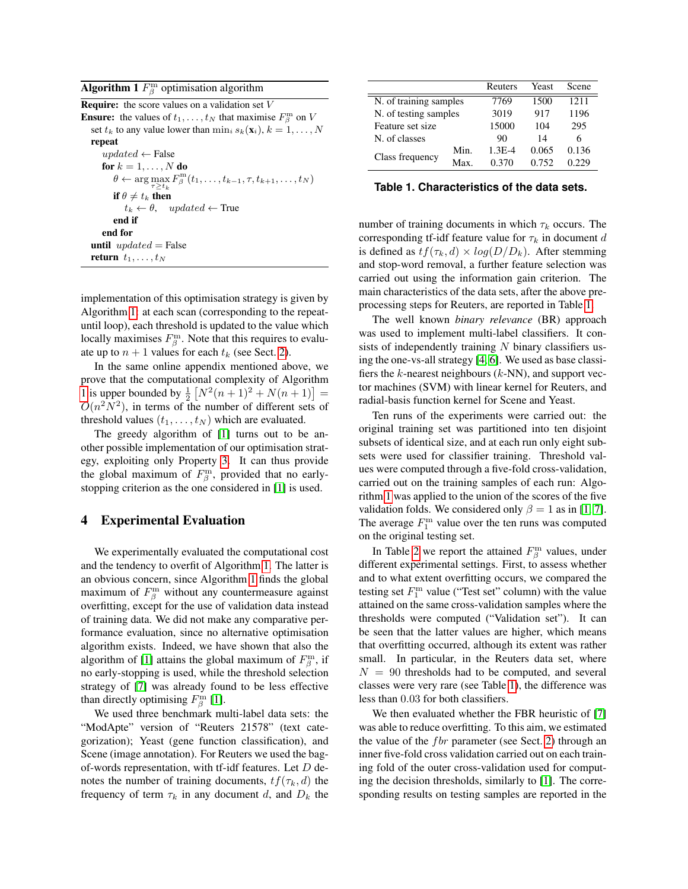<span id="page-2-1"></span>

| <b>Algorithm 1</b> $F_\beta^{\text{m}}$ optimisation algorithm |  |  |
|----------------------------------------------------------------|--|--|
|----------------------------------------------------------------|--|--|

**Require:** the score values on a validation set  $V$ **Ensure:** the values of  $t_1, \ldots, t_N$  that maximise  $F_\beta^m$  on V set  $t_k$  to any value lower than  $\min_i s_k(\mathbf{x}_i), k = 1, \ldots, N$ repeat  $updated \leftarrow False$ for  $k = 1, \ldots, N$  do  $\theta \leftarrow \arg \max_{\tau \geq t_k} F^{\text{m}}_{\beta}(t_1, \ldots, t_{k-1}, \tau, t_{k+1}, \ldots, t_N)$ if  $\theta \neq t_k$  then  $t_k \leftarrow \theta$ , updated  $\leftarrow$  True end if end for until  $updated = False$ return  $t_1, \ldots, t_N$ 

implementation of this optimisation strategy is given by Algorithm [1:](#page-2-1) at each scan (corresponding to the repeatuntil loop), each threshold is updated to the value which locally maximises  $F^{\text{m}}_{\beta}$ . Note that this requires to evaluate up to  $n + 1$  values for each  $t_k$  (see Sect. [2\)](#page-0-0).

In the same online appendix mentioned above, we prove that the computational complexity of Algorithm [1](#page-2-1) is upper bounded by  $\frac{1}{2} [N^2(n+1)^2 + N(n+1)] =$  $O(n^2N^2)$ , in terms of the number of different sets of threshold values  $(t_1, \ldots, t_N)$  which are evaluated.

The greedy algorithm of [\[1\]](#page-3-5) turns out to be another possible implementation of our optimisation strategy, exploiting only Property [3.](#page-5-0) It can thus provide the global maximum of  $F^{\text{m}}_{\beta}$ , provided that no earlystopping criterion as the one considered in [\[1\]](#page-3-5) is used.

# <span id="page-2-0"></span>4 Experimental Evaluation

We experimentally evaluated the computational cost and the tendency to overfit of Algorithm [1.](#page-2-1) The latter is an obvious concern, since Algorithm [1](#page-2-1) finds the global maximum of  $F_\beta^{\text{m}}$  without any countermeasure against overfitting, except for the use of validation data instead of training data. We did not make any comparative performance evaluation, since no alternative optimisation algorithm exists. Indeed, we have shown that also the algorithm of [\[1\]](#page-3-5) attains the global maximum of  $F_\beta^m$ , if no early-stopping is used, while the threshold selection strategy of [\[7\]](#page-3-4) was already found to be less effective than directly optimising  $F^{\text{m}}_{\beta}$  [\[1\]](#page-3-5).

We used three benchmark multi-label data sets: the "ModApte" version of "Reuters 21578" (text categorization); Yeast (gene function classification), and Scene (image annotation). For Reuters we used the bagof-words representation, with tf-idf features. Let  $D$  denotes the number of training documents,  $tf(\tau_k, d)$  the frequency of term  $\tau_k$  in any document d, and  $D_k$  the

|                        |      | Reuters    | Yeast | Scene |
|------------------------|------|------------|-------|-------|
| N. of training samples |      | 7769       | 1500  | 1211  |
| N. of testing samples  |      | 3019       | 917   | 1196  |
| Feature set size       |      | 15000      | 104   | 295   |
| N. of classes          |      | 90         | 14    | 6     |
| Class frequency        | Min. | $1.3E - 4$ | 0.065 | 0.136 |
|                        | Max  | 0.370      | 0.752 | 0.229 |

#### <span id="page-2-2"></span>**Table 1. Characteristics of the data sets.**

number of training documents in which  $\tau_k$  occurs. The corresponding tf-idf feature value for  $\tau_k$  in document d is defined as  $tf(\tau_k, d) \times log(D/D_k)$ . After stemming and stop-word removal, a further feature selection was carried out using the information gain criterion. The main characteristics of the data sets, after the above preprocessing steps for Reuters, are reported in Table [1.](#page-2-2)

The well known *binary relevance* (BR) approach was used to implement multi-label classifiers. It consists of independently training  $N$  binary classifiers using the one-vs-all strategy [\[4,](#page-3-0) [6\]](#page-3-3). We used as base classifiers the  $k$ -nearest neighbours ( $k$ -NN), and support vector machines (SVM) with linear kernel for Reuters, and radial-basis function kernel for Scene and Yeast.

Ten runs of the experiments were carried out: the original training set was partitioned into ten disjoint subsets of identical size, and at each run only eight subsets were used for classifier training. Threshold values were computed through a five-fold cross-validation, carried out on the training samples of each run: Algorithm [1](#page-2-1) was applied to the union of the scores of the five validation folds. We considered only  $\beta = 1$  as in [\[1,](#page-3-5) [7\]](#page-3-4). The average  $F_1^{\text{m}}$  value over the ten runs was computed on the original testing set.

In Table [2](#page-3-6) we report the attained  $F^{\text{m}}_{\beta}$  values, under different experimental settings. First, to assess whether and to what extent overfitting occurs, we compared the testing set  $F_1^{\text{m}}$  value ("Test set" column) with the value attained on the same cross-validation samples where the thresholds were computed ("Validation set"). It can be seen that the latter values are higher, which means that overfitting occurred, although its extent was rather small. In particular, in the Reuters data set, where  $N = 90$  thresholds had to be computed, and several classes were very rare (see Table [1\)](#page-2-2), the difference was less than 0.03 for both classifiers.

We then evaluated whether the FBR heuristic of [\[7\]](#page-3-4) was able to reduce overfitting. To this aim, we estimated the value of the  $f b r$  parameter (see Sect. [2\)](#page-0-0) through an inner five-fold cross validation carried out on each training fold of the outer cross-validation used for computing the decision thresholds, similarly to [\[1\]](#page-3-5). The corresponding results on testing samples are reported in the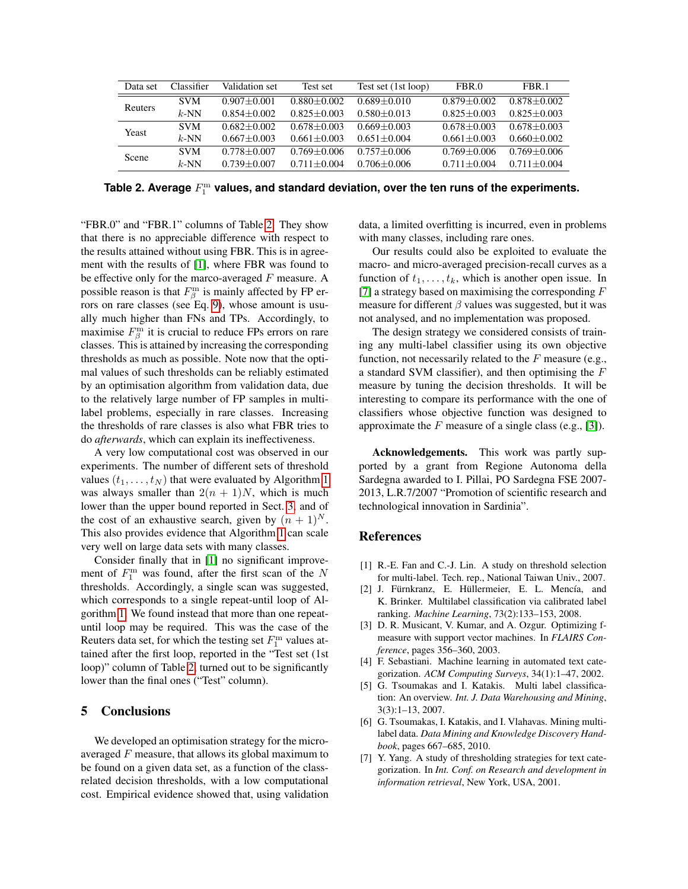| Data set       | Classifier | Validation set    | Test set        | Test set (1st loop) | FBR.0           | FBR.1           |
|----------------|------------|-------------------|-----------------|---------------------|-----------------|-----------------|
| <b>Reuters</b> | <b>SVM</b> | $0.907 + 0.001$   | $0.880 + 0.002$ | $0.689 + 0.010$     | $0.879 + 0.002$ | $0.878 + 0.002$ |
|                | $k$ -NN    | $0.854 + 0.002$   | $0.825 + 0.003$ | $0.580 + 0.013$     | $0.825 + 0.003$ | $0.825 + 0.003$ |
| Yeast          | <b>SVM</b> | $0.682 + 0.002$   | $0.678 + 0.003$ | $0.669 + 0.003$     | $0.678 + 0.003$ | $0.678 + 0.003$ |
|                | $k$ -NN    | $0.667 + 0.003$   | $0.661 + 0.003$ | $0.651 + 0.004$     | $0.661 + 0.003$ | $0.660 + 0.002$ |
| Scene          | <b>SVM</b> | $0.778 + 0.007$   | $0.769 + 0.006$ | $0.757 + 0.006$     | $0.769 + 0.006$ | $0.769 + 0.006$ |
|                | $k$ -NN    | $0.739 \pm 0.007$ | $0.711 + 0.004$ | $0.706 + 0.006$     | $0.711 + 0.004$ | $0.711 + 0.004$ |

<span id="page-3-6"></span>Table 2. Average  $F^\mathrm{m}_1$  values, and standard deviation, over the ten runs of the experiments.

"FBR.0" and "FBR.1" columns of Table [2.](#page-3-6) They show that there is no appreciable difference with respect to the results attained without using FBR. This is in agreement with the results of [\[1\]](#page-3-5), where FBR was found to be effective only for the marco-averaged  $F$  measure. A possible reason is that  $F^{\text{m}}_{\beta}$  is mainly affected by FP errors on rare classes (see Eq. [9\)](#page-5-1), whose amount is usually much higher than FNs and TPs. Accordingly, to maximise  $F^{\text{m}}_{\beta}$  it is crucial to reduce FPs errors on rare classes. This is attained by increasing the corresponding thresholds as much as possible. Note now that the optimal values of such thresholds can be reliably estimated by an optimisation algorithm from validation data, due to the relatively large number of FP samples in multilabel problems, especially in rare classes. Increasing the thresholds of rare classes is also what FBR tries to do *afterwards*, which can explain its ineffectiveness.

A very low computational cost was observed in our experiments. The number of different sets of threshold values  $(t_1, \ldots, t_N)$  that were evaluated by Algorithm [1](#page-2-1) was always smaller than  $2(n + 1)N$ , which is much lower than the upper bound reported in Sect. [3,](#page-1-0) and of the cost of an exhaustive search, given by  $(n + 1)^N$ . This also provides evidence that Algorithm [1](#page-2-1) can scale very well on large data sets with many classes.

Consider finally that in [\[1\]](#page-3-5) no significant improvement of  $F_1^{\text{m}}$  was found, after the first scan of the N thresholds. Accordingly, a single scan was suggested, which corresponds to a single repeat-until loop of Algorithm [1.](#page-2-1) We found instead that more than one repeatuntil loop may be required. This was the case of the Reuters data set, for which the testing set  $F_1^{\text{m}}$  values attained after the first loop, reported in the "Test set (1st loop)" column of Table [2,](#page-3-6) turned out to be significantly lower than the final ones ("Test" column).

# 5 Conclusions

We developed an optimisation strategy for the microaveraged  $F$  measure, that allows its global maximum to be found on a given data set, as a function of the classrelated decision thresholds, with a low computational cost. Empirical evidence showed that, using validation data, a limited overfitting is incurred, even in problems with many classes, including rare ones.

Our results could also be exploited to evaluate the macro- and micro-averaged precision-recall curves as a function of  $t_1, \ldots, t_k$ , which is another open issue. In [\[7\]](#page-3-4) a strategy based on maximising the corresponding  $F$ measure for different  $\beta$  values was suggested, but it was not analysed, and no implementation was proposed.

The design strategy we considered consists of training any multi-label classifier using its own objective function, not necessarily related to the  $F$  measure (e.g., a standard SVM classifier), and then optimising the F measure by tuning the decision thresholds. It will be interesting to compare its performance with the one of classifiers whose objective function was designed to approximate the  $F$  measure of a single class (e.g., [\[3\]](#page-3-7)).

Acknowledgements. This work was partly supported by a grant from Regione Autonoma della Sardegna awarded to I. Pillai, PO Sardegna FSE 2007- 2013, L.R.7/2007 "Promotion of scientific research and technological innovation in Sardinia".

# References

- <span id="page-3-5"></span>[1] R.-E. Fan and C.-J. Lin. A study on threshold selection for multi-label. Tech. rep., National Taiwan Univ., 2007.
- <span id="page-3-2"></span>[2] J. Fürnkranz, E. Hüllermeier, E. L. Mencía, and K. Brinker. Multilabel classification via calibrated label ranking. *Machine Learning*, 73(2):133–153, 2008.
- <span id="page-3-7"></span>[3] D. R. Musicant, V. Kumar, and A. Ozgur. Optimizing fmeasure with support vector machines. In *FLAIRS Conference*, pages 356–360, 2003.
- <span id="page-3-0"></span>[4] F. Sebastiani. Machine learning in automated text categorization. *ACM Computing Surveys*, 34(1):1–47, 2002.
- <span id="page-3-1"></span>[5] G. Tsoumakas and I. Katakis. Multi label classification: An overview. *Int. J. Data Warehousing and Mining*, 3(3):1–13, 2007.
- <span id="page-3-3"></span>[6] G. Tsoumakas, I. Katakis, and I. Vlahavas. Mining multilabel data. *Data Mining and Knowledge Discovery Handbook*, pages 667–685, 2010.
- <span id="page-3-4"></span>[7] Y. Yang. A study of thresholding strategies for text categorization. In *Int. Conf. on Research and development in information retrieval*, New York, USA, 2001.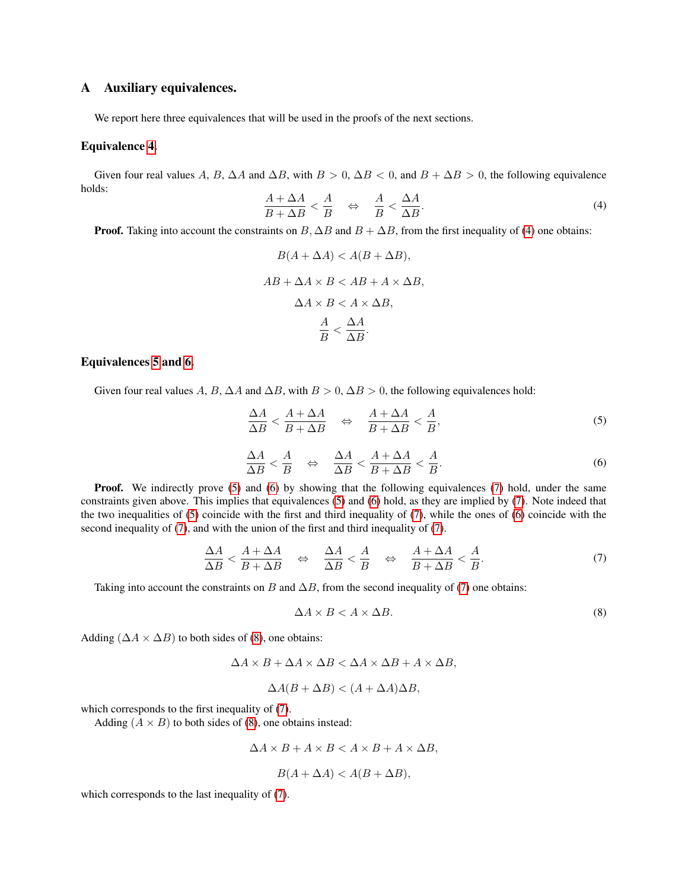# A Auxiliary equivalences.

We report here three equivalences that will be used in the proofs of the next sections.

# Equivalence [4.](#page-4-0)

Given four real values A, B,  $\Delta A$  and  $\Delta B$ , with  $B > 0$ ,  $\Delta B < 0$ , and  $B + \Delta B > 0$ , the following equivalence holds:

<span id="page-4-0"></span>
$$
\frac{A + \Delta A}{B + \Delta B} < \frac{A}{B} \quad \Leftrightarrow \quad \frac{A}{B} < \frac{\Delta A}{\Delta B}.\tag{4}
$$

**Proof.** Taking into account the constraints on  $B$ ,  $\Delta B$  and  $B + \Delta B$ , from the first inequality of [\(4\)](#page-4-0) one obtains:

$$
B(A + \Delta A) < A(B + \Delta B),
$$
\n
$$
AB + \Delta A \times B < AB + A \times \Delta B,
$$
\n
$$
\Delta A \times B < A \times \Delta B,
$$
\n
$$
\frac{A}{B} < \frac{\Delta A}{\Delta B}.
$$

### Equivalences [5](#page-4-1) and [6.](#page-4-2)

Given four real values A, B,  $\Delta A$  and  $\Delta B$ , with  $B > 0$ ,  $\Delta B > 0$ , the following equivalences hold:

<span id="page-4-1"></span>
$$
\frac{\Delta A}{\Delta B} < \frac{A + \Delta A}{B + \Delta B} \quad \Leftrightarrow \quad \frac{A + \Delta A}{B + \Delta B} < \frac{A}{B},\tag{5}
$$

<span id="page-4-2"></span>
$$
\frac{\Delta A}{\Delta B} < \frac{A}{B} \quad \Leftrightarrow \quad \frac{\Delta A}{\Delta B} < \frac{A + \Delta A}{B + \Delta B} < \frac{A}{B}.\tag{6}
$$

**Proof.** We indirectly prove [\(5\)](#page-4-1) and [\(6\)](#page-4-2) by showing that the following equivalences [\(7\)](#page-4-3) hold, under the same constraints given above. This implies that equivalences [\(5\)](#page-4-1) and [\(6\)](#page-4-2) hold, as they are implied by [\(7\)](#page-4-3). Note indeed that the two inequalities of  $(5)$  coincide with the first and third inequality of  $(7)$ , while the ones of  $(6)$  coincide with the second inequality of [\(7\)](#page-4-3), and with the union of the first and third inequality of [\(7\)](#page-4-3).

<span id="page-4-3"></span>
$$
\frac{\Delta A}{\Delta B} < \frac{A + \Delta A}{B + \Delta B} \quad \Leftrightarrow \quad \frac{\Delta A}{\Delta B} < \frac{A}{B} \quad \Leftrightarrow \quad \frac{A + \Delta A}{B + \Delta B} < \frac{A}{B}.\tag{7}
$$

Taking into account the constraints on B and  $\Delta B$ , from the second inequality of [\(7\)](#page-4-3) one obtains:

<span id="page-4-4"></span>
$$
\Delta A \times B < A \times \Delta B. \tag{8}
$$

Adding ( $\Delta A \times \Delta B$ ) to both sides of [\(8\)](#page-4-4), one obtains:

$$
\Delta A \times B + \Delta A \times \Delta B < \Delta A \times \Delta B + A \times \Delta B,
$$

$$
\Delta A(B + \Delta B) < (A + \Delta A)\Delta B,
$$

which corresponds to the first inequality of [\(7\)](#page-4-3).

Adding  $(A \times B)$  to both sides of [\(8\)](#page-4-4), one obtains instead:

$$
\Delta A \times B + A \times B < A \times B + A \times \Delta B,
$$

$$
B(A + \Delta A) < A(B + \Delta B),
$$

which corresponds to the last inequality of [\(7\)](#page-4-3).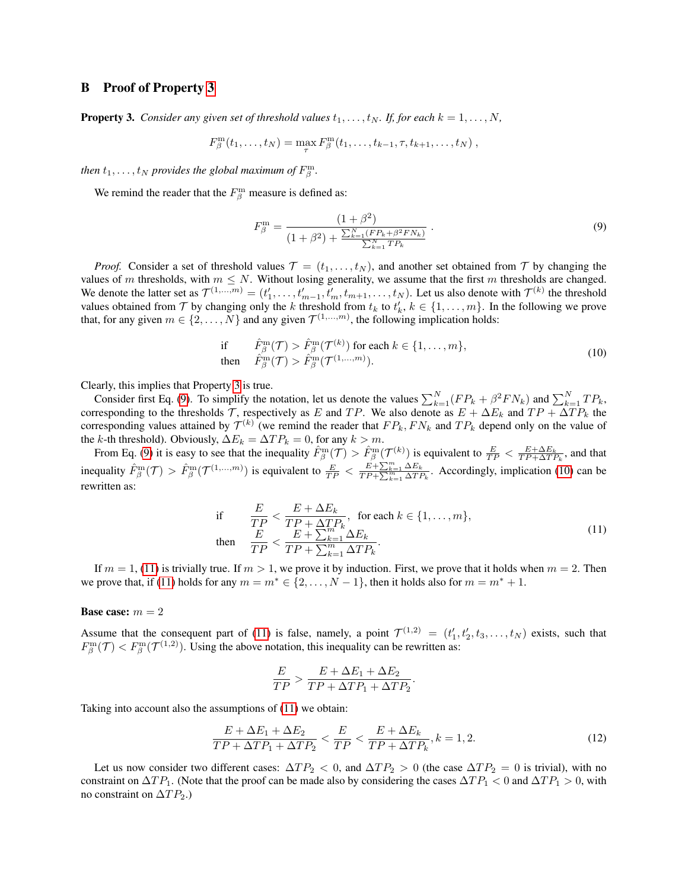## <span id="page-5-5"></span>B Proof of Property [3](#page-5-0)

<span id="page-5-0"></span>**Property 3.** *Consider any given set of threshold values*  $t_1, \ldots, t_N$ *. If, for each*  $k = 1, \ldots, N$ *,* 

$$
F_{\beta}^{\mathbf{m}}(t_1,\ldots,t_N) = \max_{\tau} F_{\beta}^{\mathbf{m}}(t_1,\ldots,t_{k-1},\tau,t_{k+1},\ldots,t_N) ,
$$

*then*  $t_1, \ldots, t_N$  *provides the global maximum of*  $F^{\text{m}}_{\beta}$ .

We remind the reader that the  $F^{\text{m}}_{\beta}$  measure is defined as:

<span id="page-5-1"></span>
$$
F_{\beta}^{\mathbf{m}} = \frac{(1+\beta^2)}{(1+\beta^2) + \frac{\sum_{k=1}^{N} (F P_k + \beta^2 F N_k)}{\sum_{k=1}^{N} T P_k}}.
$$
\n(9)

*Proof.* Consider a set of threshold values  $\mathcal{T} = (t_1, \ldots, t_N)$ , and another set obtained from  $\mathcal{T}$  by changing the values of m thresholds, with  $m \leq N$ . Without losing generality, we assume that the first m thresholds are changed. We denote the latter set as  $\mathcal{T}^{(1,...,m)} = (t'_1, \ldots, t'_{m-1}, t'_m, t_{m+1}, \ldots, t_N)$ . Let us also denote with  $\mathcal{T}^{(k)}$  the threshold values obtained from  $\mathcal T$  by changing only the k threshold from  $t_k$  to  $t'_k$ ,  $k \in \{1, \ldots, m\}$ . In the following we prove that, for any given  $m \in \{2, ..., N\}$  and any given  $\mathcal{T}^{(1,...,m)}$ , the following implication holds:

<span id="page-5-2"></span>if 
$$
\hat{F}_{\beta}^{\text{m}}(\mathcal{T}) > \hat{F}_{\beta}^{\text{m}}(\mathcal{T}^{(k)})
$$
 for each  $k \in \{1, ..., m\}$ ,  
then  $\hat{F}_{\beta}^{\text{m}}(\mathcal{T}) > \hat{F}_{\beta}^{\text{m}}(\mathcal{T}^{(1,...,m)}).$  (10)

Clearly, this implies that Property [3](#page-5-0) is true.

Consider first Eq. [\(9\)](#page-5-1). To simplify the notation, let us denote the values  $\sum_{k=1}^{N} (FP_k + \beta^2 FN_k)$  and  $\sum_{k=1}^{N} TP_k$ , corresponding to the thresholds T, respectively as E and TP. We also denote as  $E + \Delta E_k$  and  $TP + \Delta TP_k$  the corresponding values attained by  $\mathcal{T}^{(k)}$  (we remind the reader that  $FP_k, FN_k$  and  $TP_k$  depend only on the value of the k-th threshold). Obviously,  $\Delta E_k = \Delta T P_k = 0$ , for any  $k > m$ .

From Eq. [\(9\)](#page-5-1) it is easy to see that the inequality  $\hat{F}_{\beta}^{\text{m}}(\mathcal{T}) > \hat{F}_{\beta}^{\text{m}}(\mathcal{T}^{(k)})$  is equivalent to  $\frac{E}{TP} < \frac{E + \Delta E_k}{TP + \Delta TP_k}$ , and that inequality  $\hat{F}^{\text{m}}_{\beta}(\mathcal{T}) > \hat{F}^{\text{m}}_{\beta}(\mathcal{T}^{(1,...,m)})$  is equivalent to  $\frac{E}{TP} < \frac{E + \sum_{k=1}^{m} \Delta E_k}{TP + \sum_{k=1}^{m} \Delta TP_k}$ . Accordingly, implication [\(10\)](#page-5-2) can be rewritten as:

<span id="page-5-3"></span>if 
$$
\frac{E}{TP} < \frac{E + \Delta E_k}{TP + \Delta TP_k}, \text{ for each } k \in \{1, \ldots, m\},
$$
\nthen 
$$
\frac{E}{TP} < \frac{E + \sum_{k=1}^{m} \Delta E_k}{TP + \sum_{k=1}^{m} \Delta TP_k}.
$$
\n(11)

If  $m = 1$ , [\(11\)](#page-5-3) is trivially true. If  $m > 1$ , we prove it by induction. First, we prove that it holds when  $m = 2$ . Then we prove that, if [\(11\)](#page-5-3) holds for any  $m = m^* \in \{2, \ldots, N-1\}$ , then it holds also for  $m = m^* + 1$ .

#### **Base case:**  $m = 2$

Assume that the consequent part of [\(11\)](#page-5-3) is false, namely, a point  $\mathcal{T}^{(1,2)} = (t'_1, t'_2, t_3, \dots, t_N)$  exists, such that  $F_\beta^m(\mathcal{T}) < F_\beta^m(\mathcal{T}^{(1,2)})$ . Using the above notation, this inequality can be rewritten as:

$$
\frac{E}{TP} > \frac{E + \Delta E_1 + \Delta E_2}{TP + \Delta TP_1 + \Delta TP_2}
$$

Taking into account also the assumptions of [\(11\)](#page-5-3) we obtain:

<span id="page-5-4"></span>
$$
\frac{E + \Delta E_1 + \Delta E_2}{TP + \Delta TP_1 + \Delta TP_2} < \frac{E}{TP} < \frac{E + \Delta E_k}{TP + \Delta TP_k}, k = 1, 2. \tag{12}
$$

.

Let us now consider two different cases:  $\Delta TP_2 < 0$ , and  $\Delta TP_2 > 0$  (the case  $\Delta TP_2 = 0$  is trivial), with no constraint on  $\Delta TP_1$ . (Note that the proof can be made also by considering the cases  $\Delta TP_1 < 0$  and  $\Delta TP_1 > 0$ , with no constraint on  $\Delta TP_2$ .)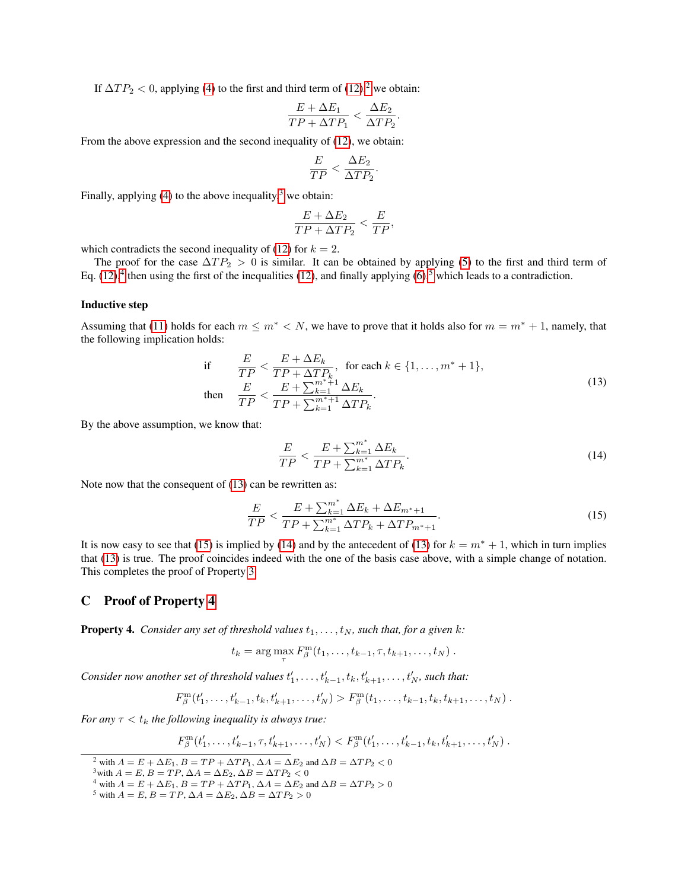If  $\Delta TP_2 < 0$  $\Delta TP_2 < 0$  $\Delta TP_2 < 0$ , applying [\(4\)](#page-4-0) to the first and third term of [\(12\)](#page-5-4),<sup>2</sup> we obtain:

$$
\frac{E + \Delta E_1}{TP + \Delta TP_1} < \frac{\Delta E_2}{\Delta TP_2}.
$$

From the above expression and the second inequality of [\(12\)](#page-5-4), we obtain:

$$
\frac{E}{TP} < \frac{\Delta E_2}{\Delta TP_2}.
$$

Finally, applying [\(4\)](#page-4-0) to the above inequality, <sup>[3](#page-6-2)</sup> we obtain:

$$
\frac{E + \Delta E_2}{TP + \Delta TP_2} < \frac{E}{TP},
$$

which contradicts the second inequality of [\(12\)](#page-5-4) for  $k = 2$ .

The proof for the case  $\Delta TP_2 > 0$  is similar. It can be obtained by applying [\(5\)](#page-4-1) to the first and third term of Eq.  $(12)$ ,<sup>[4](#page-6-3)</sup> then using the first of the inequalities (12), and finally applying  $(6)$ ,<sup>[5](#page-6-4)</sup> which leads to a contradiction.

#### Inductive step

Assuming that [\(11\)](#page-5-3) holds for each  $m \leq m^* < N$ , we have to prove that it holds also for  $m = m^* + 1$ , namely, that the following implication holds:

<span id="page-6-5"></span>if 
$$
\frac{E}{TP} < \frac{E + \Delta E_k}{TP + \Delta TP_k}, \text{ for each } k \in \{1, \ldots, m^* + 1\},
$$
\nthen 
$$
\frac{E}{TP} < \frac{E + \sum_{k=1}^{m^*+1} \Delta E_k}{TP + \sum_{k=1}^{m^*+1} \Delta TP_k}.
$$
\n
$$
(13)
$$

By the above assumption, we know that:

<span id="page-6-7"></span>
$$
\frac{E}{TP} < \frac{E + \sum_{k=1}^{m^*} \Delta E_k}{TP + \sum_{k=1}^{m^*} \Delta TP_k}.\tag{14}
$$

Note now that the consequent of [\(13\)](#page-6-5) can be rewritten as:

<span id="page-6-6"></span>
$$
\frac{E}{TP} < \frac{E + \sum_{k=1}^{m^*} \Delta E_k + \Delta E_{m^*+1}}{TP + \sum_{k=1}^{m^*} \Delta TP_k + \Delta TP_{m^*+1}}.\tag{15}
$$

It is now easy to see that [\(15\)](#page-6-6) is implied by [\(14\)](#page-6-7) and by the antecedent of [\(13\)](#page-6-5) for  $k = m^* + 1$ , which in turn implies that [\(13\)](#page-6-5) is true. The proof coincides indeed with the one of the basis case above, with a simple change of notation. This completes the proof of Property [3.](#page-5-0)

# C Proof of Property [4](#page-6-0)

<span id="page-6-0"></span>**Property 4.** *Consider any set of threshold values*  $t_1, \ldots, t_N$ *, such that, for a given k:* 

$$
t_k = \arg\max_{\tau} F^{\mathbf{m}}_{\beta}(t_1,\ldots,t_{k-1},\tau,t_{k+1},\ldots,t_N).
$$

*Consider now another set of threshold values*  $t'_1, \ldots, t'_{k-1}, t_k, t'_{k+1}, \ldots, t'_N$ , such that:

$$
F_{\beta}^m(t'_1,\ldots,t'_{k-1},t_k,t'_{k+1},\ldots,t'_N) > F_{\beta}^m(t_1,\ldots,t_{k-1},t_k,t_{k+1},\ldots,t_N).
$$

*For any*  $\tau < t_k$  *the following inequality is always true:* 

$$
F_{\beta}^{\mathbf{m}}(t'_{1},\ldots,t'_{k-1},\tau,t'_{k+1},\ldots,t'_{N}) < F_{\beta}^{\mathbf{m}}(t'_{1},\ldots,t'_{k-1},t_{k},t'_{k+1},\ldots,t'_{N}).
$$

<span id="page-6-3"></span><sup>4</sup> with  $A = E + \Delta E_1$ ,  $B = TP + \Delta TP_1$ ,  $\Delta A = \Delta E_2$  and  $\Delta B = \Delta TP_2 > 0$ 

<span id="page-6-1"></span><sup>&</sup>lt;sup>2</sup> with  $A = E + \Delta E_1$ ,  $B = TP + \Delta TP_1$ ,  $\Delta A = \Delta E_2$  and  $\Delta B = \Delta TP_2 < 0$ 

<span id="page-6-2"></span><sup>&</sup>lt;sup>3</sup>with  $A = E$ ,  $B = TP$ ,  $\Delta A = \Delta E_2$ ,  $\Delta B = \Delta TP_2 < 0$ 

<span id="page-6-4"></span><sup>&</sup>lt;sup>5</sup> with  $A = E$ ,  $B = TP$ ,  $\Delta A = \Delta E_2$ ,  $\Delta B = \Delta TP_2 > 0$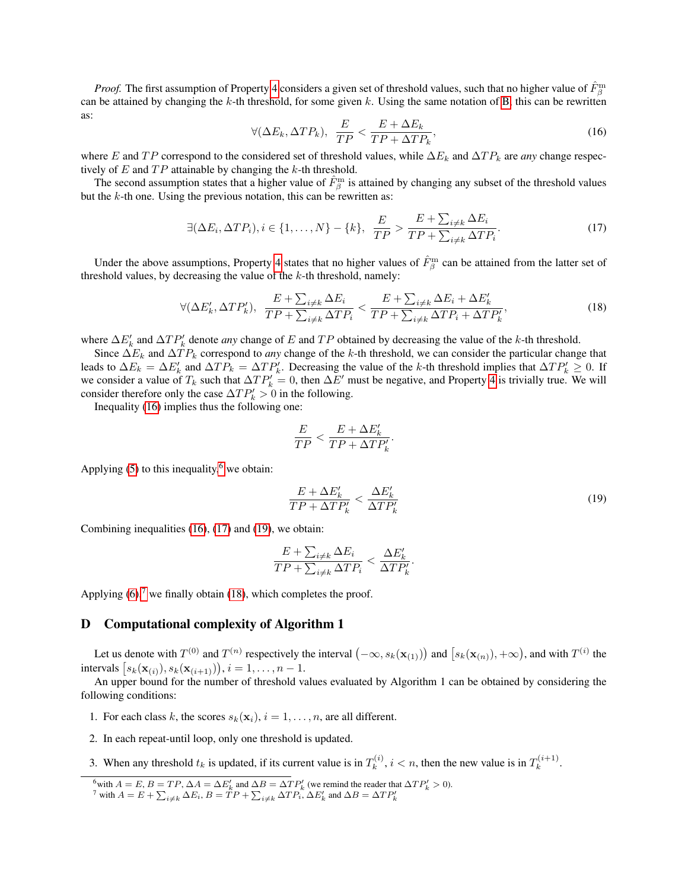*Proof.* The first assumption of Property [4](#page-6-0) considers a given set of threshold values, such that no higher value of  $\hat{F}^{\text{m}}_{\beta}$ can be attained by changing the  $k$ -th threshold, for some given k. Using the same notation of [B,](#page-5-5) this can be rewritten as:

<span id="page-7-0"></span>
$$
\forall (\Delta E_k, \Delta T P_k), \ \frac{E}{TP} < \frac{E + \Delta E_k}{TP + \Delta T P_k},\tag{16}
$$

where E and TP correspond to the considered set of threshold values, while  $\Delta E_k$  and  $\Delta T P_k$  are *any* change respectively of  $E$  and  $TP$  attainable by changing the  $k$ -th threshold.

The second assumption states that a higher value of  $\hat{F}^{\text{m}}_{\beta}$  is attained by changing any subset of the threshold values but the  $k$ -th one. Using the previous notation, this can be rewritten as:

<span id="page-7-2"></span>
$$
\exists (\Delta E_i, \Delta T P_i), i \in \{1, \dots, N\} - \{k\}, \ \frac{E}{TP} > \frac{E + \sum_{i \neq k} \Delta E_i}{TP + \sum_{i \neq k} \Delta TP_i}.\tag{17}
$$

Under the above assumptions, Property [4](#page-6-0) states that no higher values of  $\hat{F}^{\text{m}}_{\beta}$  can be attained from the latter set of threshold values, by decreasing the value of the  $k$ -th threshold, namely:

<span id="page-7-5"></span>
$$
\forall (\Delta E'_k, \Delta TP'_k), \ \frac{E + \sum_{i \neq k} \Delta E_i}{TP + \sum_{i \neq k} \Delta TP_i} < \frac{E + \sum_{i \neq k} \Delta E_i + \Delta E'_k}{TP + \sum_{i \neq k} \Delta TP_i + \Delta TP'_k},\tag{18}
$$

where  $\Delta E'_k$  and  $\Delta T P'_k$  denote *any* change of E and TP obtained by decreasing the value of the k-th threshold.

Since  $\Delta E_k$  and  $\Delta T P_k$  correspond to *any* change of the k-th threshold, we can consider the particular change that leads to  $\Delta E_k = \Delta E'_k$  and  $\Delta T P_k = \Delta T P'_k$ . Decreasing the value of the k-th threshold implies that  $\Delta T P'_k \geq 0$ . If we consider a value of  $T_k$  such that  $\Delta T P'_k = 0$ , then  $\Delta E'$  must be negative, and Property [4](#page-6-0) is trivially true. We will consider therefore only the case  $\Delta TP'_k > 0$  in the following.

Inequality [\(16\)](#page-7-0) implies thus the following one:

$$
\frac{E}{TP} < \frac{E + \Delta E_k'}{TP + \Delta TP_k'}.
$$

Applying  $(5)$  to this inequality,<sup>[6](#page-7-1)</sup> we obtain:

<span id="page-7-3"></span>
$$
\frac{E + \Delta E'_k}{TP + \Delta TP'_k} < \frac{\Delta E'_k}{\Delta TP'_k} \tag{19}
$$

Combining inequalities [\(16\)](#page-7-0), [\(17\)](#page-7-2) and [\(19\)](#page-7-3), we obtain:

$$
\frac{E + \sum_{i \neq k} \Delta E_i}{TP + \sum_{i \neq k} \Delta TP_i} < \frac{\Delta E'_k}{\Delta TP'_k}.
$$

Applying  $(6)$ ,<sup>[7](#page-7-4)</sup> we finally obtain [\(18\)](#page-7-5), which completes the proof.

## D Computational complexity of Algorithm 1

Let us denote with  $T^{(0)}$  and  $T^{(n)}$  respectively the interval  $(-\infty, s_k(\mathbf{x}_{(1)}))$  and  $[s_k(\mathbf{x}_{(n)}), +\infty)$ , and with  $T^{(i)}$  the intervals  $[s_k(\mathbf{x}_{(i)}), s_k(\mathbf{x}_{(i+1)})), i = 1, ..., n-1.$ 

An upper bound for the number of threshold values evaluated by Algorithm 1 can be obtained by considering the following conditions:

- 1. For each class k, the scores  $s_k(\mathbf{x}_i)$ ,  $i = 1, \dots, n$ , are all different.
- 2. In each repeat-until loop, only one threshold is updated.
- 3. When any threshold  $t_k$  is updated, if its current value is in  $T_k^{(i)}$  $k^{(i)}$ ,  $i < n$ , then the new value is in  $T_k^{(i+1)}$  $k^{(i+1)}$ .

<span id="page-7-1"></span><sup>&</sup>lt;sup>6</sup>with  $A = E$ ,  $B = TP$ ,  $\Delta A = \Delta E'_k$  and  $\Delta B = \Delta TP'_k$  (we remind the reader that  $\Delta TP'_k > 0$ ).<br><sup>7</sup> with  $A = E + \sum_{i \neq k} \Delta E_i$ ,  $B = TP + \sum_{i \neq k} \Delta TP_i$ ,  $\Delta E'_k$  and  $\Delta B = \Delta TP'_k$ 

<span id="page-7-4"></span>